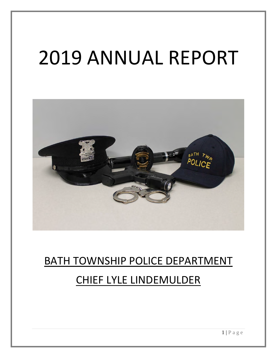# 2019 ANNUAL REPORT



# BATH TOWNSHIP POLICE DEPARTMENT CHIEF LYLE LINDEMULDER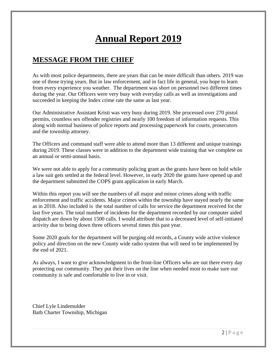# **Annual Report 2019**

### **MESSAGE FROM THE CHIEF**

As with most police departments, there are years that can be more difficult than others. 2019 was one of those trying years. But in law enforcement, and in fact life in general, you hope to learn from every experience you weather. The department was short on personnel two different times during the year. Our Officers were very busy with everyday calls as well as investigations and succeeded in keeping the Index crime rate the same as last year.

Our Administrative Assistant Kristi was very busy during 2019. She processed over 270 pistol permits, countless sex offender registries and nearly 100 freedom of information requests. This along with normal business of police reports and processing paperwork for courts, prosecutors and the township attorney.

The Officers and command staff were able to attend more than 13 different and unique trainings during 2019. These classes were in addition to the department wide training that we complete on an annual or semi-annual basis.

We were not able to apply for a community policing grant as the grants have been on hold while a law suit gets settled at the federal level. However, in early 2020 the grants have opened up and the department submitted the COPS grant application in early March.

Within this report you will see the numbers of all major and minor crimes along with traffic enforcement and traffic accidents. Major crimes within the township have stayed nearly the same as in 2018. Also included is the total number of calls for service the department received for the last five years. The total number of incidents for the department recorded by our computer aided dispatch are down by about 1500 calls. I would attribute that to a decreased level of self-initiated activity due to being down three officers several times this past year.

Some 2020 goals for the department will be purging old records, a County wide active violence policy and direction on the new County wide radio system that will need to be implemented by the end of 2021.

As always, I want to give acknowledgment to the front-line Officers who are out there every day protecting our community. They put their lives on the line when needed most to make sure our community is safe and comfortable to live in or visit.

Chief Lyle Lindemulder Bath Charter Township, Michigan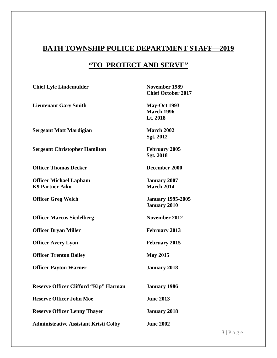# **BATH TOWNSHIP POLICE DEPARTMENT STAFF—2019**

# **"TO PROTECT AND SERVE"**

| <b>Chief Lyle Lindemulder</b>                           | <b>November 1989</b><br><b>Chief October 2017</b>    |
|---------------------------------------------------------|------------------------------------------------------|
| <b>Lieutenant Gary Smith</b>                            | <b>May-Oct 1993</b><br><b>March 1996</b><br>Lt. 2018 |
| <b>Sergeant Matt Mardigian</b>                          | <b>March 2002</b><br>Sgt. 2012                       |
| <b>Sergeant Christopher Hamilton</b>                    | <b>February 2005</b><br>Sgt. 2018                    |
| <b>Officer Thomas Decker</b>                            | December 2000                                        |
| <b>Officer Michael Lapham</b><br><b>K9 Partner Aiko</b> | <b>January 2007</b><br><b>March 2014</b>             |
| <b>Officer Greg Welch</b>                               | <b>January 1995-2005</b><br><b>January 2010</b>      |
| <b>Officer Marcus Siedelberg</b>                        | November 2012                                        |
| <b>Officer Bryan Miller</b>                             | <b>February 2013</b>                                 |
| <b>Officer Avery Lyon</b>                               | <b>February 2015</b>                                 |
| <b>Officer Trenton Bailey</b>                           | <b>May 2015</b>                                      |
| <b>Officer Payton Warner</b>                            | <b>January 2018</b>                                  |
| <b>Reserve Officer Clifford "Kip" Harman</b>            | <b>January 1986</b>                                  |
| <b>Reserve Officer John Moe</b>                         | <b>June 2013</b>                                     |
| <b>Reserve Officer Lenny Thayer</b>                     | <b>January 2018</b>                                  |
| <b>Administrative Assistant Kristi Colby</b>            | <b>June 2002</b>                                     |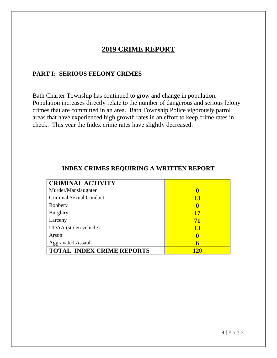# **2019 CRIME REPORT**

#### **PART I: SERIOUS FELONY CRIMES**

Bath Charter Township has continued to grow and change in population. Population increases directly relate to the number of dangerous and serious felony crimes that are committed in an area. Bath Township Police vigorously patrol areas that have experienced high growth rates in an effort to keep crime rates in check. This year the Index crime rates have slightly decreased.

#### **INDEX CRIMES REQUIRING A WRITTEN REPORT**

| <b>CRIMINAL ACTIVITY</b>         |           |
|----------------------------------|-----------|
| Murder/Manslaughter              | 0         |
| Criminal Sexual Conduct          | <b>13</b> |
| Robbery                          | o         |
| <b>Burglary</b>                  | 17        |
| Larceny                          | 71        |
| UDAA (stolen vehicle)            | <b>13</b> |
| Arson                            | 0         |
| <b>Aggravated Assault</b>        | 6         |
| <b>TOTAL INDEX CRIME REPORTS</b> |           |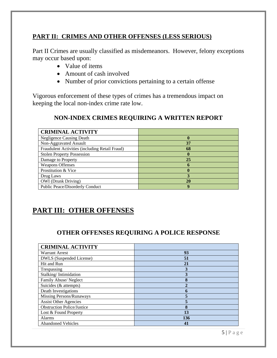#### **PART II: CRIMES AND OTHER OFFENSES (LESS SERIOUS)**

Part II Crimes are usually classified as misdemeanors. However, felony exceptions may occur based upon:

- Value of items
- Amount of cash involved
- Number of prior convictions pertaining to a certain offense

Vigorous enforcement of these types of crimes has a tremendous impact on keeping the local non-index crime rate low.

#### **NON-INDEX CRIMES REQUIRING A WRITTEN REPORT**

| <b>CRIMINAL ACTIVITY</b>                       |    |
|------------------------------------------------|----|
| <b>Negligence Causing Death</b>                | o  |
| Non-Aggravated Assault                         | 37 |
| Fraudulent Activities (including Retail Fraud) | 68 |
| <b>Stolen Property Possession</b>              | 0  |
| Damage to Property                             | 25 |
| <b>Weapons Offenses</b>                        |    |
| Prostitution & Vice                            |    |
| Drug Laws                                      |    |
| <b>OWI</b> (Drunk Driving)                     | 20 |
| <b>Public Peace/Disorderly Conduct</b>         | 9  |

# **PART III: OTHER OFFENSES**

#### **OTHER OFFENSES REQUIRING A POLICE RESPONSE**

| <b>CRIMINAL ACTIVITY</b>          |     |
|-----------------------------------|-----|
| <b>Warrant Arrest</b>             | 93  |
| DWLS (Suspended License)          | 51  |
| Hit and Run                       | 21  |
| Trespassing                       |     |
| Stalking/Intimidation             | 3   |
| Family Abuse/Neglect              | 8   |
| Suicides (& attempts)             |     |
| Death Investigations              |     |
| Missing Persons/Runaways          |     |
| <b>Assist Other Agencies</b>      |     |
| <b>Obstruction Police/Justice</b> | 8   |
| Lost & Found Property             | 13  |
| <b>Alarms</b>                     | 136 |
| <b>Abandoned Vehicles</b>         | 41  |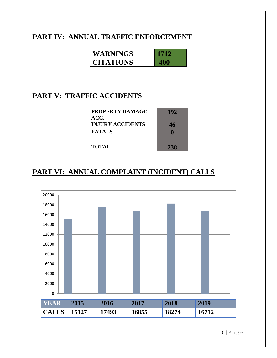#### **PART IV: ANNUAL TRAFFIC ENFORCEMENT**

| WARNINGS         |  |
|------------------|--|
| <b>CITATIONS</b> |  |

# **PART V: TRAFFIC ACCIDENTS**

| PROPERTY DAMAGE<br>ACC. | 192 |
|-------------------------|-----|
| <b>INJURY ACCIDENTS</b> | 46  |
| <b>FATALS</b>           |     |
|                         |     |
| <b>TOTAL</b>            | 238 |

# **PART VI: ANNUAL COMPLAINT (INCIDENT) CALLS**

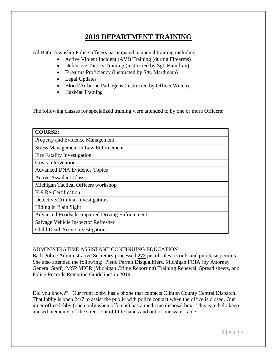# **2019 DEPARTMENT TRAINING**

All Bath Township Police officers participated in annual training including:

- Active Violent Incident (AVI) Training (during Firearms)
- Defensive Tactics Training (instructed by Sgt. Hamilton)
- Firearms Proficiency (instructed by Sgt. Mardigian)
- Legal Updates
- Blood/Airborne Pathogens (instructed by Officer Welch)
- HazMat Training

The following classes for specialized training were attended to by one or more Officers:

| <b>COURSE:</b>                                        |
|-------------------------------------------------------|
| Property and Evidence Management                      |
| <b>Stress Management in Law Enforcement</b>           |
| Fire Fatality Investigation                           |
| Crisis Intervention                                   |
| <b>Advanced DNA Evidence Topics</b>                   |
| <b>Active Assailant Class</b>                         |
| Michigan Tactical Officers workshop                   |
| K-9 Re-Certification                                  |
| Detective/Criminal Investigations                     |
| Hiding in Plain Sight                                 |
| <b>Advanced Roadside Impaired Driving Enforcement</b> |
| Salvage Vehicle Inspector Refresher                   |
| <b>Child Death Scene Investigations</b>               |

#### ADMINISTRATIVE ASSISTANT CONTINUING EDUCATION:

Bath Police Administrative Secretary processed **272** pistol sales records and purchase permits. She also attended the following: Pistol Permit Disqualifiers, Michigan FOIA (by Attorney General Staff), MSP MICR (Michigan Crime Reporting) Training Renewal, Spread sheets, and Police Records Retention Guidelines in 2019.

Did you know?? Our front lobby has a phone that contacts Clinton County Central Dispatch. That lobby is open 24/7 to assist the public with police contact when the office is closed. Our inner office lobby (open only when office is) has a medicine disposal box. This is to help keep unused medicine off the street, out of little hands and out of our water table.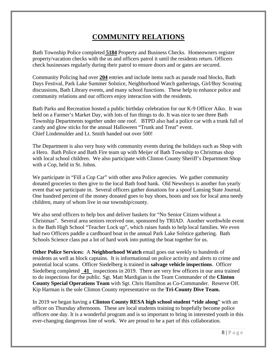# **COMMUNITY RELATIONS**

Bath Township Police completed **5184** Property and Business Checks. Homeowners register property/vacation checks with the us and officers patrol it until the residents return. Officers check businesses regularly during their patrol to ensure doors and or gates are secured.

Community Policing had over **204** entries and include items such as parade road blocks, Bath Days Festival, Park Lake Summer Solstice, Neighborhood Watch gatherings, Girl/Boy Scouting discussions, Bath Library events, and many school functions. These help to enhance police and community relations and our officers enjoy interaction with the residents.

Bath Parks and Recreation hosted a public birthday celebration for our K-9 Officer Aiko. It was held on a Farmer's Market Day, with lots of fun things to do. It was nice to see three Bath Township Departments together under one roof. BTPD also had a police car with a trunk full of candy and glow sticks for the annual Halloween "Trunk and Treat" event. Chief Lindemulder and Lt. Smith handed out over 500!

The Department is also very busy with community events during the holidays such as Shop with a Hero. Bath Police and Bath Fire team up with Meijer of Bath Township to Christmas shop with local school children. We also participate with Clinton County Sheriff's Department Shop with a Cop, held in St. Johns.

We participate in "Fill a Cop Car" with other area Police agencies. We gather community donated groceries to then give to the local Bath food bank. Old Newsboys is another fun yearly event that we participate in. Several officers gather donations for a spoof Lansing State Journal. One hundred percent of the money donated goes to buy shoes, boots and sox for local area needy children, many of whom live in our township/county.

We also send officers to help box and deliver baskets for "No Senior Citizen without a Christmas". Several area seniors received one, sponsored by TRIAD. Another worthwhile event is the Bath High School "Teacher Lock up", which raises funds to help local families. We even had two Officers paddle a cardboard boat in the annual Park Lake Solstice gathering. Bath Schools Science class put a lot of hard work into putting the boat together for us.

**Other Police Services:** A **Neighborhood Watch** email goes out weekly to hundreds of residents as well as block captains. It is informational on police activity and alerts to crime and potential local scams. Officer Siedelberg is trained in **salvage vehicle inspections**. Officer Siedelberg completed **41** inspections in 2019. There are very few officers in our area trained to do inspections for the public. Sgt. Matt Mardigian is the Team Commander of the **Clinton County Special Operations Team** with Sgt. Chris Hamilton as Co-Commander. Reserve Off. Kip Harman is the sole Clinton County representative on the **Tri-County Dive Team.** 

In 2019 we began having a **Clinton County RESA high school student "ride along**" with an officer on Thursday afternoons. These are local students training to hopefully become police officers one day. It is a wonderful program and is so important to bring in interested youth in this ever-changing dangerous line of work. We are proud to be a part of this collaboration.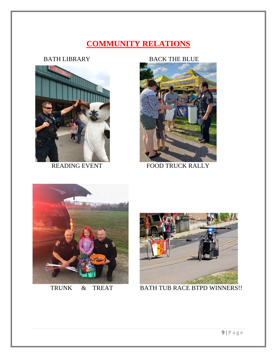# **COMMUNITY RELATIONS**



#### BATH LIBRARY BACK THE BLUE



READING EVENT FOOD TRUCK RALLY





TRUNK & TREAT BATH TUB RACE BTPD WINNERS!!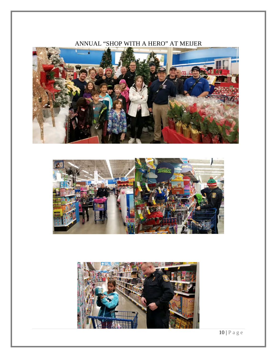### ANNUAL "SHOP WITH A HERO" AT MEIJER







10 | Page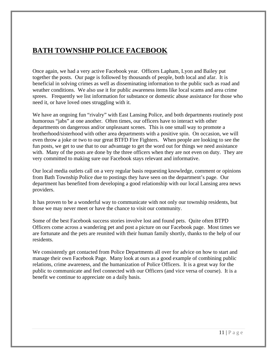# **BATH TOWNSHIP POLICE FACEBOOK**

Once again, we had a very active Facebook year. Officers Lapham, Lyon and Bailey put together the posts. Our page is followed by thousands of people, both local and afar. It is beneficial in solving crimes as well as disseminating information to the public such as road and weather conditions. We also use it for public awareness items like local scams and area crime sprees. Frequently we list information for substance or domestic abuse assistance for those who need it, or have loved ones struggling with it.

We have an ongoing fun "rivalry" with East Lansing Police, and both departments routinely post humorous "jabs" at one another. Often times, our officers have to interact with other departments on dangerous and/or unpleasant scenes. This is one small way to promote a brotherhood/sisterhood with other area departments with a positive spin. On occasion, we will even throw a joke or two to our great BTFD Fire Fighters. When people are looking to see the fun posts, we get to use that to our advantage to get the word out for things we need assistance with. Many of the posts are done by the three officers when they are not even on duty. They are very committed to making sure our Facebook stays relevant and informative.

Our local media outlets call on a very regular basis requesting knowledge, comment or opinions from Bath Township Police due to postings they have seen on the department's page. Our department has benefited from developing a good relationship with our local Lansing area news providers.

It has proven to be a wonderful way to communicate with not only our township residents, but those we may never meet or have the chance to visit our community.

Some of the best Facebook success stories involve lost and found pets. Quite often BTPD Officers come across a wandering pet and post a picture on our Facebook page. Most times we are fortunate and the pets are reunited with their human family shortly, thanks to the help of our residents.

We consistently get contacted from Police Departments all over for advice on how to start and manage their own Facebook Page. Many look at ours as a good example of combining public relations, crime awareness, and the humanization of Police Officers. It is a great way for the public to communicate and feel connected with our Officers (and vice versa of course). It is a benefit we continue to appreciate on a daily basis.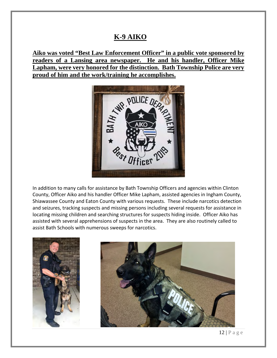#### **K-9 AIKO**

**Aiko was voted "Best Law Enforcement Officer" in a public vote sponsored by readers of a Lansing area newspaper. He and his handler, Officer Mike Lapham, were very honored for the distinction. Bath Township Police are very** 



In addition to many calls for assistance by Bath Township Officers and agencies within Clinton County, Officer Aiko and his handler Officer Mike Lapham, assisted agencies in Ingham County, Shiawassee County and Eaton County with various requests. These include narcotics detection and seizures, tracking suspects and missing persons including several requests for assistance in locating missing children and searching structures for suspects hiding inside. Officer Aiko has assisted with several apprehensions of suspects in the area. They are also routinely called to assist Bath Schools with numerous sweeps for narcotics.



 $12 | P \text{ a } g \text{ e}$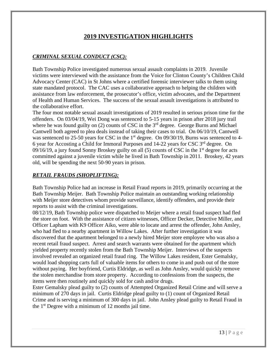#### **2019 INVESTIGATION HIGHLIGHTS**

#### *CRIMINAL SEXUAL CONDUCT (CSC):*

Bath Township Police investigated numerous sexual assault complaints in 2019. Juvenile victims were interviewed with the assistance from the Voice for Clinton County's Children Child Advocacy Center (CAC) in St Johns where a certified forensic interviewer talks to them using state mandated protocol. The CAC uses a collaborative approach to helping the children with assistance from law enforcement, the prosecutor's office, victim advocates, and the Department of Health and Human Services. The success of the sexual assault investigations is attributed to the collaborative effort.

The four most notable sexual assault investigations of 2019 resulted in serious prison time for the offenders. On 03/04/19, Wei Dong was sentenced to 5-15 years in prison after 2018 jury trail where he was found guilty on  $(2)$  counts of CSC in the 3<sup>rd</sup> degree. George Burns and Michael Cantwell both agreed to plea deals instead of taking their cases to trial. On 06/10/19, Cantwell was sentenced to 25-50 years for CSC in the  $1<sup>st</sup>$  degree. On 09/30/19, Burns was sentenced to 4-6 year for Accosting a Child for Immoral Purposes and 14-22 years for CSC 3rd degree. On 09/16/19, a jury found Sonny Broskey guilty on all  $(5)$  counts of CSC in the 1<sup>st</sup> degree for acts committed against a juvenile victim while he lived in Bath Township in 2011. Broskey, 42 years old, will be spending the next 50-90 years in prison.

#### *RETAIL FRAUDS (SHOPLIFTING):*

Bath Township Police had an increase in Retail Fraud reports in 2019, primarily occurring at the Bath Township Meijer. Bath Township Police maintain an outstanding working relationship with Meijer store detectives whom provide surveillance, identify offenders, and provide their reports to assist with the criminal investigations.

08/12/19, Bath Township police were dispatched to Meijer where a retail fraud suspect had fled the store on foot. With the assistance of citizen witnesses, Officer Decker, Detective Miller, and Officer Lapham with K9 Officer Aiko, were able to locate and arrest the offender, John Ansley, who had fled to a nearby apartment in Willow Lakes. After further investigation it was discovered that the apartment belonged to a newly hired Meijer store employee who was also a recent retail fraud suspect. Arrest and search warrants were obtained for the apartment which yielded property recently stolen from the Bath Township Meijer. Interviews of the suspects involved revealed an organized retail fraud ring. The Willow Lakes resident, Ester Gemalsky, would load shopping carts full of valuable items for others to come in and push out of the store without paying. Her boyfriend, Curtis Eldridge, as well as John Ansley, would quickly remove the stolen merchandise from store property. According to confessions from the suspects, the items were then routinely and quickly sold for cash and/or drugs.

Ester Gemalsky plead guilty to (2) counts of Attempted Organized Retail Crime and will serve a minimum of 270 days in jail. Curtis Eldridge plead guilty to (1) count of Organized Retail Crime and is serving a minimum of 300 days in jail. John Ansley plead guilty to Retail Fraud in the  $1<sup>st</sup>$  Degree with a minimum of 12 months jail time.